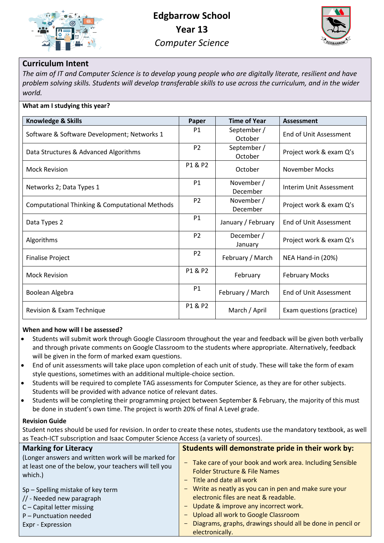



## **Curriculum Intent**

*The aim of IT and Computer Science is to develop young people who are digitally literate, resilient and have problem solving skills. Students will develop transferable skills to use across the curriculum, and in the wider world.*

| What am I studying this year? |  |
|-------------------------------|--|
|                               |  |

| <b>Knowledge &amp; Skills</b>                             | Paper          | <b>Time of Year</b>    | <b>Assessment</b>         |
|-----------------------------------------------------------|----------------|------------------------|---------------------------|
| Software & Software Development; Networks 1               | <b>P1</b>      | September /<br>October | End of Unit Assessment    |
| Data Structures & Advanced Algorithms                     | P <sub>2</sub> | September /<br>October | Project work & exam Q's   |
| <b>Mock Revision</b>                                      | P1 & P2        | October                | November Mocks            |
| Networks 2; Data Types 1                                  | <b>P1</b>      | November /<br>December | Interim Unit Assessment   |
| <b>Computational Thinking &amp; Computational Methods</b> | P <sub>2</sub> | November /<br>December | Project work & exam Q's   |
| Data Types 2                                              | P1             | January / February     | End of Unit Assessment    |
| Algorithms                                                | P <sub>2</sub> | December /<br>January  | Project work & exam Q's   |
| <b>Finalise Project</b>                                   | P <sub>2</sub> | February / March       | NEA Hand-in (20%)         |
| <b>Mock Revision</b>                                      | P1 & P2        | February               | <b>February Mocks</b>     |
| Boolean Algebra                                           | P1             | February / March       | End of Unit Assessment    |
| Revision & Exam Technique                                 | P1 & P2        | March / April          | Exam questions (practice) |

## **When and how will I be assessed?**

- Students will submit work through Google Classroom throughout the year and feedback will be given both verbally and through private comments on Google Classroom to the students where appropriate. Alternatively, feedback will be given in the form of marked exam questions.
- End of unit assessments will take place upon completion of each unit of study. These will take the form of exam style questions, sometimes with an additional multiple-choice section.
- Students will be required to complete TAG assessments for Computer Science, as they are for other subjects. Students will be provided with advance notice of relevant dates.
- Students will be completing their programming project between September & February, the majority of this must be done in student's own time. The project is worth 20% of final A Level grade.

## **Revision Guide**

Student notes should be used for revision. In order to create these notes, students use the mandatory textbook, as well as Teach-ICT subscription and Isaac Computer Science Access (a variety of sources).

| <b>Marking for Literacy</b>                                       | Students will demonstrate pride in their work by:          |
|-------------------------------------------------------------------|------------------------------------------------------------|
| (Longer answers and written work will be marked for               | - Take care of your book and work area. Including Sensible |
| at least one of the below, your teachers will tell you<br>which.) | <b>Folder Structure &amp; File Names</b>                   |
|                                                                   | $-$ Title and date all work                                |
| Sp-Spelling mistake of key term                                   | - Write as neatly as you can in pen and make sure your     |
| // - Needed new paragraph                                         | electronic files are neat & readable.                      |
| C - Capital letter missing                                        | - Update & improve any incorrect work.                     |
| P - Punctuation needed                                            | - Upload all work to Google Classroom                      |
| Expr - Expression                                                 | Diagrams, graphs, drawings should all be done in pencil or |
|                                                                   | electronically.                                            |